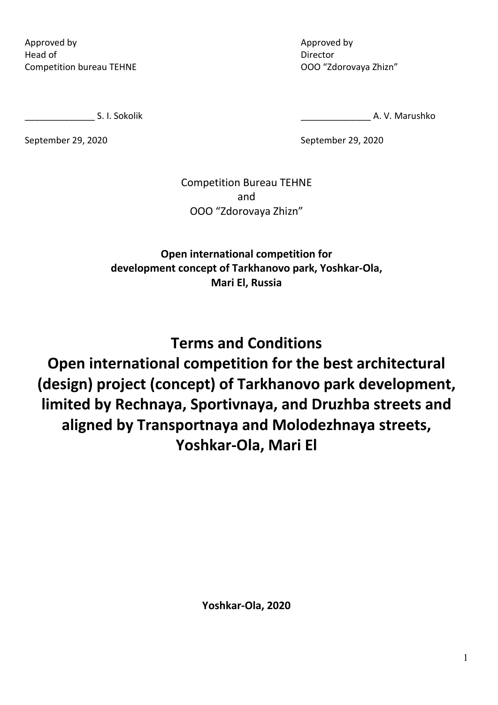Approved by Head of Competition bureau TEHNE Approved by Director ООО "Zdorovaya Zhizn"

S. I. Sokolik

September 29, 2020

A. V. Marushko

September 29, 2020

Competition Bureau TEHNE and ООО "Zdorovaya Zhizn"

**Open international competition for development concept of Tarkhanovo park, Yoshkar-Ola, Mari El, Russia**

**Terms and Conditions Open international competition for the best architectural (design) project (concept) of Tarkhanovo park development, limited by Rechnaya, Sportivnaya, and Druzhba streets and aligned by Transportnaya and Molodezhnaya streets, Yoshkar-Ola, Mari El**

**Yoshkar-Ola, 2020**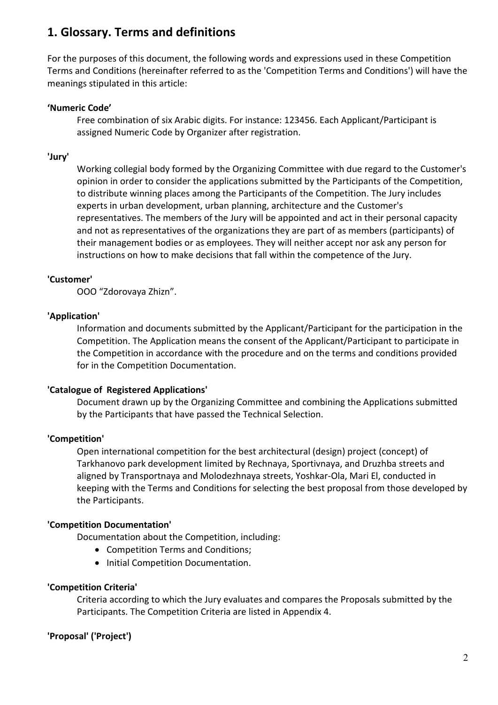## **1. Glossary. Terms and definitions**

For the purposes of this document, the following words and expressions used in these Competition Terms and Conditions (hereinafter referred to as the 'Competition Terms and Conditions') will have the meanings stipulated in this article:

#### **'Numeric Code'**

Free combination of six Arabic digits. For instance: 123456. Each Applicant/Participant is assigned Numeric Code by Organizer after registration.

#### **'Jury'**

Working collegial body formed by the Organizing Committee with due regard to the Customer's opinion in order to consider the applications submitted by the Participants of the Competition, to distribute winning places among the Participants of the Competition. The Jury includes experts in urban development, urban planning, architecture and the Customer's representatives. The members of the Jury will be appointed and act in their personal capacity and not as representatives of the organizations they are part of as members (participants) of their management bodies or as employees. They will neither accept nor ask any person for instructions on how to make decisions that fall within the competence of the Jury.

#### **'Customer'**

ООО "Zdorovaya Zhizn".

#### **'Application'**

Information and documents submitted by the Applicant/Participant for the participation in the Competition. The Application means the consent of the Applicant/Participant to participate in the Competition in accordance with the procedure and on the terms and conditions provided for in the Competition Documentation.

#### **'Catalogue of Registered Applications'**

Document drawn up by the Organizing Committee and combining the Applications submitted by the Participants that have passed the Technical Selection.

#### **'Competition'**

Open international competition for the best architectural (design) project (concept) of Tarkhanovo park development limited by Rechnaya, Sportivnaya, and Druzhba streets and aligned by Transportnaya and Molodezhnaya streets, Yoshkar-Ola, Mari El, conducted in keeping with the Terms and Conditions for selecting the best proposal from those developed by the Participants.

#### **'Competition Documentation'**

Documentation about the Competition, including:

- Competition Terms and Conditions;
- Initial Competition Documentation.

#### **'Competition Criteria'**

Criteria according to which the Jury evaluates and compares the Proposals submitted by the Participants. The Competition Criteria are listed in Appendix 4.

#### **'Proposal' ('Project')**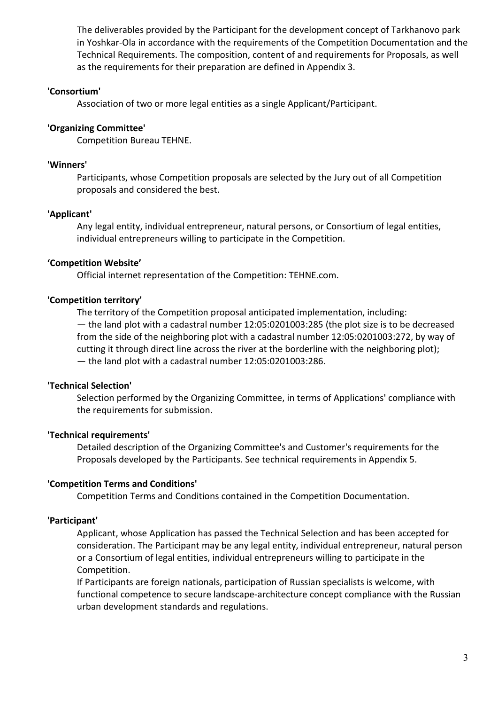The deliverables provided by the Participant for the development concept of Tarkhanovo park in Yoshkar-Ola in accordance with the requirements of the Competition Documentation and the Technical Requirements. The composition, content of and requirements for Proposals, as well as the requirements for their preparation are defined in Appendix 3.

#### **'Consortium'**

Association of two or more legal entities as a single Applicant/Participant.

#### **'Organizing Committee'**

Competition Bureau TEHNE.

#### **'Winners'**

Participants, whose Competition proposals are selected by the Jury out of all Competition proposals and considered the best.

#### **'Applicant'**

Any legal entity, individual entrepreneur, natural persons, or Consortium of legal entities, individual entrepreneurs willing to participate in the Competition.

#### **'Competition Website'**

Official internet representation of the Competition: TEHNE.com.

#### **'Competition territory'**

The territory of the Competition proposal anticipated implementation, including: — the land plot with a cadastral number 12:05:0201003:285 (the plot size is to be decreased from the side of the neighboring plot with a cadastral number 12:05:0201003:272, by way of cutting it through direct line across the river at the borderline with the neighboring plot); — the land plot with a cadastral number 12:05:0201003:286.

#### **'Technical Selection'**

Selection performed by the Organizing Committee, in terms of Applications' compliance with the requirements for submission.

#### **'Technical requirements'**

Detailed description of the Organizing Committee's and Customer's requirements for the Proposals developed by the Participants. See technical requirements in Appendix 5.

#### **'Competition Terms and Conditions'**

Competition Terms and Conditions contained in the Competition Documentation.

#### **'Participant'**

Applicant, whose Application has passed the Technical Selection and has been accepted for consideration. The Participant may be any legal entity, individual entrepreneur, natural person or a Consortium of legal entities, individual entrepreneurs willing to participate in the Competition.

If Participants are foreign nationals, participation of Russian specialists is welcome, with functional competence to secure landscape-architecture concept compliance with the Russian urban development standards and regulations.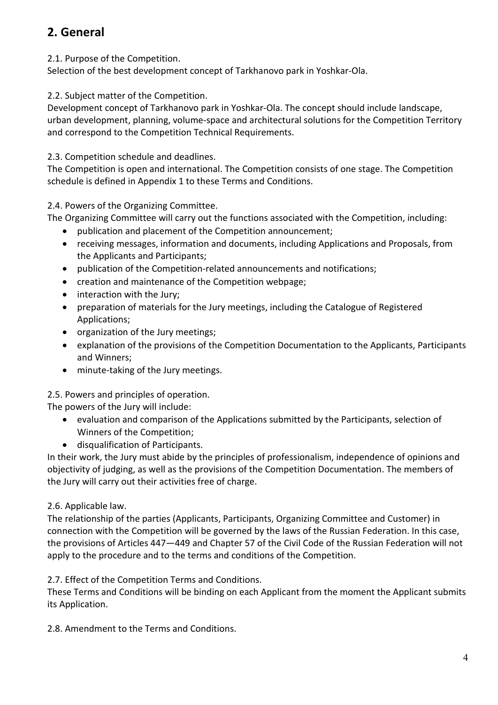# **2. General**

2.1. Purpose of the Competition.

Selection of the best development concept of Tarkhanovo park in Yoshkar-Ola.

2.2. Subject matter of the Competition.

Development concept of Tarkhanovo park in Yoshkar-Ola. The concept should include landscape, urban development, planning, volume-space and architectural solutions for the Competition Territory and correspond to the Competition Technical Requirements.

2.3. Competition schedule and deadlines.

The Competition is open and international. The Competition consists of one stage. The Competition schedule is defined in Appendix 1 to these Terms and Conditions.

2.4. Powers of the Organizing Committee.

The Organizing Committee will carry out the functions associated with the Competition, including:

- publication and placement of the Competition announcement;
- receiving messages, information and documents, including Applications and Proposals, from the Applicants and Participants;
- publication of the Competition-related announcements and notifications;
- creation and maintenance of the Competition webpage;
- interaction with the Jury;
- preparation of materials for the Jury meetings, including the Catalogue of Registered Applications;
- organization of the Jury meetings;
- explanation of the provisions of the Competition Documentation to the Applicants, Participants and Winners;
- minute-taking of the Jury meetings.

2.5. Powers and principles of operation.

The powers of the Jury will include:

- evaluation and comparison of the Applications submitted by the Participants, selection of Winners of the Competition;
- disqualification of Participants.

In their work, the Jury must abide by the principles of professionalism, independence of opinions and objectivity of judging, as well as the provisions of the Competition Documentation. The members of the Jury will carry out their activities free of charge.

## 2.6. Applicable law.

The relationship of the parties (Applicants, Participants, Organizing Committee and Customer) in connection with the Competition will be governed by the laws of the Russian Federation. In this case, the provisions of Articles 447—449 and Chapter 57 of the Civil Code of the Russian Federation will not apply to the procedure and to the terms and conditions of the Competition.

2.7. Effect of the Competition Terms and Conditions.

These Terms and Conditions will be binding on each Applicant from the moment the Applicant submits its Application.

2.8. Amendment to the Terms and Conditions.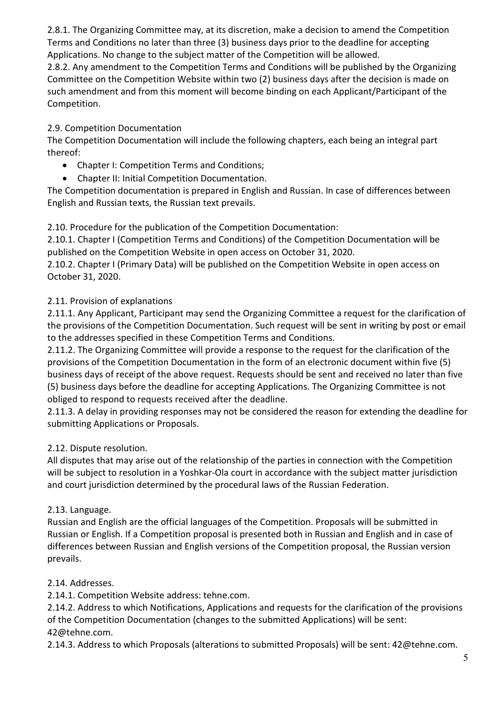2.8.1. The Organizing Committee may, at its discretion, make a decision to amend the Competition Terms and Conditions no later than three (3) business days prior to the deadline for accepting Applications. No change to the subject matter of the Competition will be allowed.

2.8.2. Any amendment to the Competition Terms and Conditions will be published by the Organizing Committee on the Competition Website within two (2) business days after the decision is made on such amendment and from this moment will become binding on each Applicant/Participant of the Competition.

## 2.9. Competition Documentation

The Competition Documentation will include the following chapters, each being an integral part thereof:

- Chapter I: Competition Terms and Conditions;
- Chapter II: Initial Competition Documentation.

The Competition documentation is prepared in English and Russian. In case of differences between English and Russian texts, the Russian text prevails.

### 2.10. Procedure for the publication of the Competition Documentation:

2.10.1. Chapter I (Competition Terms and Conditions) of the Competition Documentation will be published on the Competition Website in open access on October 31, 2020.

2.10.2. Chapter I (Primary Data) will be published on the Competition Website in open access on October 31, 2020.

## 2.11. Provision of explanations

2.11.1. Any Applicant, Participant may send the Organizing Committee a request for the clarification of the provisions of the Competition Documentation. Such request will be sent in writing by post or email to the addresses specified in these Competition Terms and Conditions.

2.11.2. The Organizing Committee will provide a response to the request for the clarification of the provisions of the Competition Documentation in the form of an electronic document within five (5) business days of receipt of the above request. Requests should be sent and received no later than five (5) business days before the deadline for accepting Applications. The Organizing Committee is not obliged to respond to requests received after the deadline.

2.11.3. A delay in providing responses may not be considered the reason for extending the deadline for submitting Applications or Proposals.

## 2.12. Dispute resolution.

All disputes that may arise out of the relationship of the parties in connection with the Competition will be subject to resolution in a Yoshkar-Ola court in accordance with the subject matter jurisdiction and court jurisdiction determined by the procedural laws of the Russian Federation.

### 2.13. Language.

Russian and English are the official languages of the Competition. Proposals will be submitted in Russian or English. If a Competition proposal is presented both in Russian and English and in case of differences between Russian and English versions of the Competition proposal, the Russian version prevails.

### 2.14. Addresses.

2.14.1. Competition Website address: tehne.com.

2.14.2. Address to which Notifications, Applications and requests for the clarification of the provisions of the Competition Documentation (changes to the submitted Applications) will be sent: 42@tehne.com.

2.14.3. Address to which Proposals (alterations to submitted Proposals) will be sent: 42@tehne.com.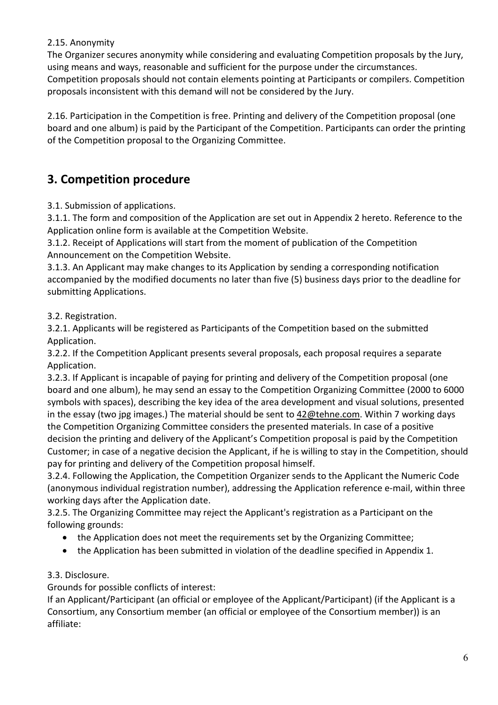### 2.15. Anonymity

The Organizer secures anonymity while considering and evaluating Competition proposals by the Jury, using means and ways, reasonable and sufficient for the purpose under the circumstances. Competition proposals should not contain elements pointing at Participants or compilers. Competition proposals inconsistent with this demand will not be considered by the Jury.

2.16. Participation in the Competition is free. Printing and delivery of the Competition proposal (one board and one album) is paid by the Participant of the Competition. Participants can order the printing of the Competition proposal to the Organizing Committee.

## **3. Competition procedure**

3.1. Submission of applications.

3.1.1. The form and composition of the Application are set out in Appendix 2 hereto. Reference to the Application online form is available at the Competition Website.

3.1.2. Receipt of Applications will start from the moment of publication of the Competition Announcement on the Competition Website.

3.1.3. An Applicant may make changes to its Application by sending a corresponding notification accompanied by the modified documents no later than five (5) business days prior to the deadline for submitting Applications.

### 3.2. Registration.

3.2.1. Applicants will be registered as Participants of the Competition based on the submitted Application.

3.2.2. If the Competition Applicant presents several proposals, each proposal requires a separate Application.

3.2.3. If Applicant is incapable of paying for printing and delivery of the Competition proposal (one board and one album), he may send an essay to the Competition Organizing Committee (2000 to 6000 symbols with spaces), describing the key idea of the area development and visual solutions, presented in the essay (two jpg images.) The material should be sent to  $42@$ tehne.com. Within 7 working days the Competition Organizing Committee considers the presented materials. In case of a positive decision the printing and delivery of the Applicant's Competition proposal is paid by the Competition Customer; in case of a negative decision the Applicant, if he is willing to stay in the Competition, should pay for printing and delivery of the Competition proposal himself.

3.2.4. Following the Application, the Competition Organizer sends to the Applicant the Numeric Code (anonymous individual registration number), addressing the Application reference e-mail, within three working days after the Application date.

3.2.5. The Organizing Committee may reject the Applicant's registration as a Participant on the following grounds:

- the Application does not meet the requirements set by the Organizing Committee;
- the Application has been submitted in violation of the deadline specified in Appendix 1.

### 3.3. Disclosure.

Grounds for possible conflicts of interest:

If an Applicant/Participant (an official or employee of the Applicant/Participant) (if the Applicant is a Consortium, any Consortium member (an official or employee of the Consortium member)) is an affiliate: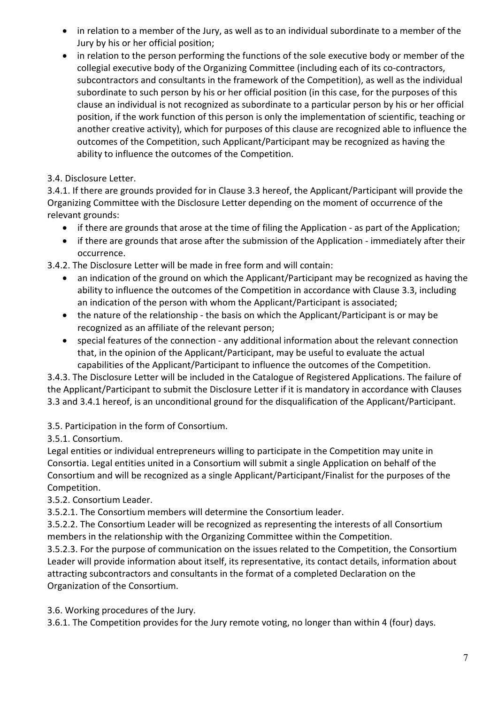- in relation to a member of the Jury, as well as to an individual subordinate to a member of the Jury by his or her official position;
- in relation to the person performing the functions of the sole executive body or member of the collegial executive body of the Organizing Committee (including each of its co-contractors, subcontractors and consultants in the framework of the Competition), as well as the individual subordinate to such person by his or her official position (in this case, for the purposes of this clause an individual is not recognized as subordinate to a particular person by his or her official position, if the work function of this person is only the implementation of scientific, teaching or another creative activity), which for purposes of this clause are recognized able to influence the outcomes of the Competition, such Applicant/Participant may be recognized as having the ability to influence the outcomes of the Competition.

## 3.4. Disclosure Letter.

3.4.1. If there are grounds provided for in Clause 3.3 hereof, the Applicant/Participant will provide the Organizing Committee with the Disclosure Letter depending on the moment of occurrence of the relevant grounds:

- if there are grounds that arose at the time of filing the Application as part of the Application;
- if there are grounds that arose after the submission of the Application immediately after their occurrence.

3.4.2. The Disclosure Letter will be made in free form and will contain:

- an indication of the ground on which the Applicant/Participant may be recognized as having the ability to influence the outcomes of the Competition in accordance with Clause 3.3, including an indication of the person with whom the Applicant/Participant is associated;
- the nature of the relationship the basis on which the Applicant/Participant is or may be recognized as an affiliate of the relevant person;
- special features of the connection any additional information about the relevant connection that, in the opinion of the Applicant/Participant, may be useful to evaluate the actual capabilities of the Applicant/Participant to influence the outcomes of the Competition.

3.4.3. The Disclosure Letter will be included in the Catalogue of Registered Applications. The failure of the Applicant/Participant to submit the Disclosure Letter if it is mandatory in accordance with Clauses 3.3 and 3.4.1 hereof, is an unconditional ground for the disqualification of the Applicant/Participant.

## 3.5. Participation in the form of Consortium.

3.5.1. Consortium.

Legal entities or individual entrepreneurs willing to participate in the Competition may unite in Consortia. Legal entities united in a Consortium will submit a single Application on behalf of the Consortium and will be recognized as a single Applicant/Participant/Finalist for the purposes of the Competition.

## 3.5.2. Consortium Leader.

3.5.2.1. The Consortium members will determine the Consortium leader.

3.5.2.2. The Consortium Leader will be recognized as representing the interests of all Consortium members in the relationship with the Organizing Committee within the Competition.

3.5.2.3. For the purpose of communication on the issues related to the Competition, the Consortium Leader will provide information about itself, its representative, its contact details, information about attracting subcontractors and consultants in the format of a completed Declaration on the Organization of the Consortium.

3.6. Working procedures of the Jury.

3.6.1. The Competition provides for the Jury remote voting, no longer than within 4 (four) days.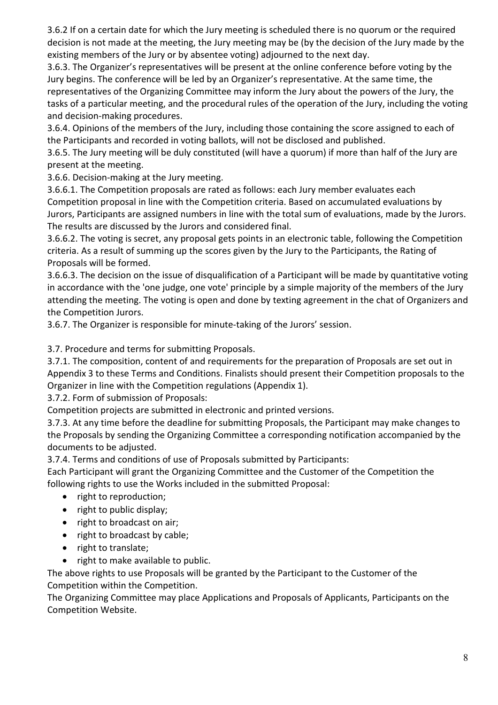3.6.2 If on a certain date for which the Jury meeting is scheduled there is no quorum or the required decision is not made at the meeting, the Jury meeting may be (by the decision of the Jury made by the existing members of the Jury or by absentee voting) adjourned to the next day.

3.6.3. The Organizer's representatives will be present at the online conference before voting by the Jury begins. The conference will be led by an Organizer's representative. At the same time, the representatives of the Organizing Committee may inform the Jury about the powers of the Jury, the tasks of a particular meeting, and the procedural rules of the operation of the Jury, including the voting and decision-making procedures.

3.6.4. Opinions of the members of the Jury, including those containing the score assigned to each of the Participants and recorded in voting ballots, will not be disclosed and published.

3.6.5. The Jury meeting will be duly constituted (will have a quorum) if more than half of the Jury are present at the meeting.

3.6.6. Decision-making at the Jury meeting.

3.6.6.1. The Competition proposals are rated as follows: each Jury member evaluates each Competition proposal in line with the Competition criteria. Based on accumulated evaluations by Jurors, Participants are assigned numbers in line with the total sum of evaluations, made by the Jurors. The results are discussed by the Jurors and considered final.

3.6.6.2. The voting is secret, any proposal gets points in an electronic table, following the Competition criteria. As a result of summing up the scores given by the Jury to the Participants, the Rating of Proposals will be formed.

3.6.6.3. The decision on the issue of disqualification of a Participant will be made by quantitative voting in accordance with the 'one judge, one vote' principle by a simple majority of the members of the Jury attending the meeting. The voting is open and done by texting agreement in the chat of Organizers and the Competition Jurors.

3.6.7. The Organizer is responsible for minute-taking of the Jurors' session.

3.7. Procedure and terms for submitting Proposals.

3.7.1. The composition, content of and requirements for the preparation of Proposals are set out in Appendix 3 to these Terms and Conditions. Finalists should present their Competition proposals to the Organizer in line with the Competition regulations (Appendix 1).

3.7.2. Form of submission of Proposals:

Competition projects are submitted in electronic and printed versions.

3.7.3. At any time before the deadline for submitting Proposals, the Participant may make changes to the Proposals by sending the Organizing Committee a corresponding notification accompanied by the documents to be adjusted.

3.7.4. Terms and conditions of use of Proposals submitted by Participants:

Each Participant will grant the Organizing Committee and the Customer of the Competition the following rights to use the Works included in the submitted Proposal:

- right to reproduction;
- right to public display;
- right to broadcast on air;
- right to broadcast by cable;
- right to translate;
- right to make available to public.

The above rights to use Proposals will be granted by the Participant to the Customer of the Competition within the Competition.

The Organizing Committee may place Applications and Proposals of Applicants, Participants on the Competition Website.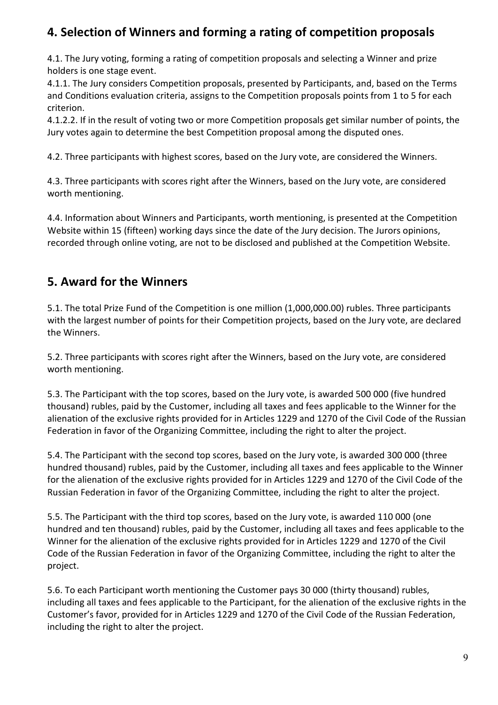## **4. Selection of Winners and forming a rating of competition proposals**

4.1. The Jury voting, forming a rating of competition proposals and selecting a Winner and prize holders is one stage event.

4.1.1. The Jury considers Competition proposals, presented by Participants, and, based on the Terms and Conditions evaluation criteria, assigns to the Competition proposals points from 1 to 5 for each criterion.

4.1.2.2. If in the result of voting two or more Competition proposals get similar number of points, the Jury votes again to determine the best Competition proposal among the disputed ones.

4.2. Three participants with highest scores, based on the Jury vote, are considered the Winners.

4.3. Three participants with scores right after the Winners, based on the Jury vote, are considered worth mentioning.

4.4. Information about Winners and Participants, worth mentioning, is presented at the Competition Website within 15 (fifteen) working days since the date of the Jury decision. The Jurors opinions, recorded through online voting, are not to be disclosed and published at the Competition Website.

## **5. Award for the Winners**

5.1. The total Prize Fund of the Competition is one million (1,000,000.00) rubles. Three participants with the largest number of points for their Competition projects, based on the Jury vote, are declared the Winners.

5.2. Three participants with scores right after the Winners, based on the Jury vote, are considered worth mentioning.

5.3. The Participant with the top scores, based on the Jury vote, is awarded 500 000 (five hundred thousand) rubles, paid by the Customer, including all taxes and fees applicable to the Winner for the alienation of the exclusive rights provided for in Articles 1229 and 1270 of the Civil Code of the Russian Federation in favor of the Organizing Committee, including the right to alter the project.

5.4. The Participant with the second top scores, based on the Jury vote, is awarded 300 000 (three hundred thousand) rubles, paid by the Customer, including all taxes and fees applicable to the Winner for the alienation of the exclusive rights provided for in Articles 1229 and 1270 of the Civil Code of the Russian Federation in favor of the Organizing Committee, including the right to alter the project.

5.5. The Participant with the third top scores, based on the Jury vote, is awarded 110 000 (one hundred and ten thousand) rubles, paid by the Customer, including all taxes and fees applicable to the Winner for the alienation of the exclusive rights provided for in Articles 1229 and 1270 of the Civil Code of the Russian Federation in favor of the Organizing Committee, including the right to alter the project.

5.6. To each Participant worth mentioning the Customer pays 30 000 (thirty thousand) rubles, including all taxes and fees applicable to the Participant, for the alienation of the exclusive rights in the Customer's favor, provided for in Articles 1229 and 1270 of the Civil Code of the Russian Federation, including the right to alter the project.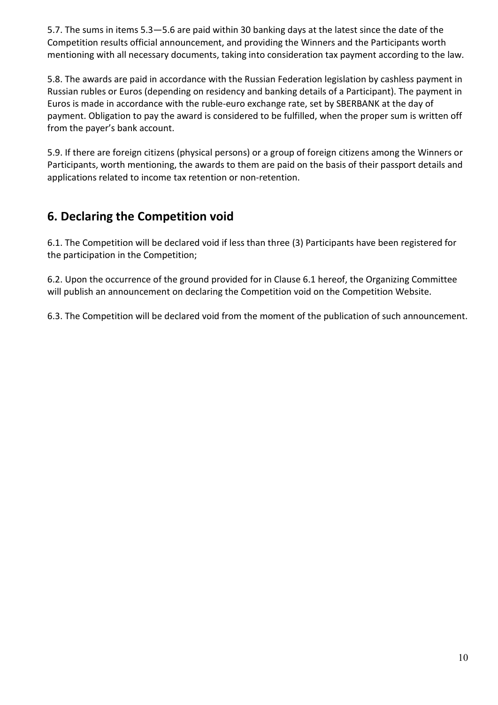5.7. The sums in items 5.3—5.6 are paid within 30 banking days at the latest since the date of the Competition results official announcement, and providing the Winners and the Participants worth mentioning with all necessary documents, taking into consideration tax payment according to the law.

5.8. The awards are paid in accordance with the Russian Federation legislation by cashless payment in Russian rubles or Euros (depending on residency and banking details of a Participant). The payment in Euros is made in accordance with the ruble-euro exchange rate, set by SBERBANK at the day of payment. Obligation to pay the award is considered to be fulfilled, when the proper sum is written off from the payer's bank account.

5.9. If there are foreign citizens (physical persons) or a group of foreign citizens among the Winners or Participants, worth mentioning, the awards to them are paid on the basis of their passport details and applications related to income tax retention or non-retention.

## **6. Declaring the Competition void**

6.1. The Competition will be declared void if less than three (3) Participants have been registered for the participation in the Competition;

6.2. Upon the occurrence of the ground provided for in Clause 6.1 hereof, the Organizing Committee will publish an announcement on declaring the Competition void on the Competition Website.

6.3. The Competition will be declared void from the moment of the publication of such announcement.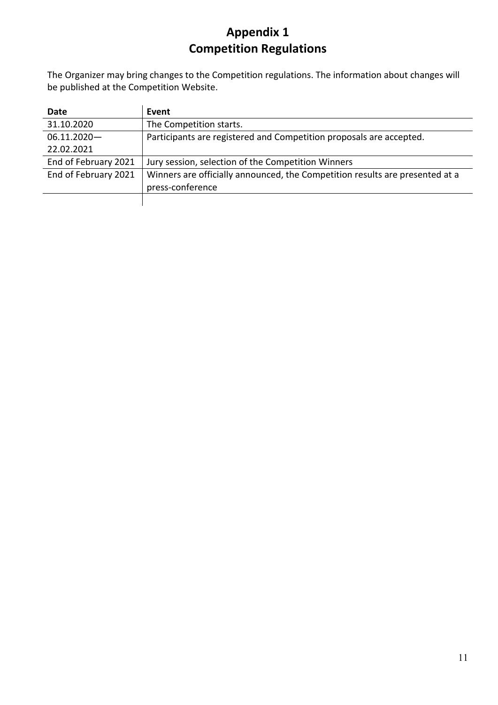# **Appendix 1 Competition Regulations**

The Organizer may bring changes to the Competition regulations. The information about changes will be published at the Competition Website.

| Date                 | Event                                                                        |
|----------------------|------------------------------------------------------------------------------|
| 31.10.2020           | The Competition starts.                                                      |
| $06.11.2020 -$       | Participants are registered and Competition proposals are accepted.          |
| 22.02.2021           |                                                                              |
| End of February 2021 | Jury session, selection of the Competition Winners                           |
| End of February 2021 | Winners are officially announced, the Competition results are presented at a |
|                      | press-conference                                                             |
|                      |                                                                              |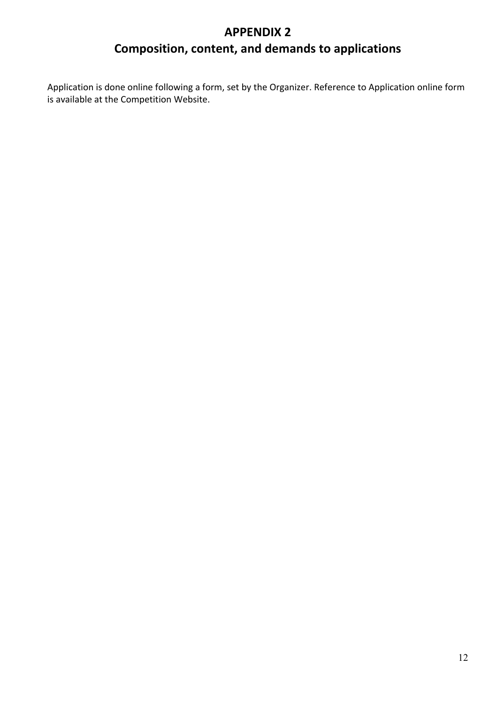# **APPENDIX 2 Composition, content, and demands to applications**

Application is done online following a form, set by the Organizer. Reference to Application online form is available at the Competition Website.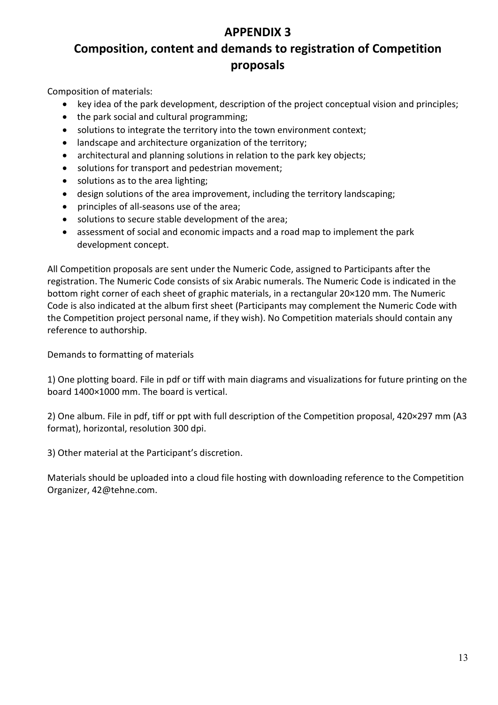## **APPENDIX 3**

## **Composition, content and demands to registration of Competition proposals**

Composition of materials:

- key idea of the park development, description of the project conceptual vision and principles;
- the park social and cultural programming;
- solutions to integrate the territory into the town environment context;
- landscape and architecture organization of the territory;
- architectural and planning solutions in relation to the park key objects;
- solutions for transport and pedestrian movement;
- solutions as to the area lighting;
- design solutions of the area improvement, including the territory landscaping;
- principles of all-seasons use of the area;
- solutions to secure stable development of the area;
- assessment of social and economic impacts and a road map to implement the park development concept.

All Competition proposals are sent under the Numeric Code, assigned to Participants after the registration. The Numeric Code consists of six Arabic numerals. The Numeric Code is indicated in the bottom right corner of each sheet of graphic materials, in a rectangular 20×120 mm. The Numeric Code is also indicated at the album first sheet (Participants may complement the Numeric Code with the Competition project personal name, if they wish). No Competition materials should contain any reference to authorship.

Demands to formatting of materials

1) One plotting board. File in pdf or tiff with main diagrams and visualizations for future printing on the board 1400×1000 mm. The board is vertical.

2) One album. File in pdf, tiff or ppt with full description of the Competition proposal, 420×297 mm (A3 format), horizontal, resolution 300 dpi.

3) Other material at the Participant's discretion.

Materials should be uploaded into a cloud file hosting with downloading reference to the Competition Organizer, 42@tehne.com.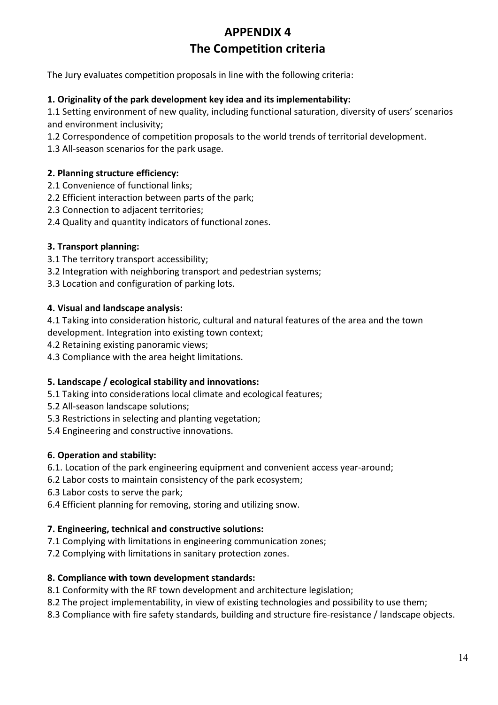## **APPENDIX 4 The Competition criteria**

The Jury evaluates competition proposals in line with the following criteria:

#### **1. Originality of the park development key idea and its implementability:**

1.1 Setting environment of new quality, including functional saturation, diversity of users' scenarios and environment inclusivity;

1.2 Correspondence of competition proposals to the world trends of territorial development.

1.3 All-season scenarios for the park usage.

#### **2. Planning structure efficiency:**

- 2.1 Convenience of functional links;
- 2.2 Efficient interaction between parts of the park;
- 2.3 Connection to adjacent territories;
- 2.4 Quality and quantity indicators of functional zones.

#### **3. Transport planning:**

- 3.1 The territory transport accessibility;
- 3.2 Integration with neighboring transport and pedestrian systems;
- 3.3 Location and configuration of parking lots.

#### **4. Visual and landscape analysis:**

4.1 Taking into consideration historic, cultural and natural features of the area and the town development. Integration into existing town context;

- 4.2 Retaining existing panoramic views;
- 4.3 Compliance with the area height limitations.

#### **5. Landscape / ecological stability and innovations:**

- 5.1 Taking into considerations local climate and ecological features;
- 5.2 All-season landscape solutions;
- 5.3 Restrictions in selecting and planting vegetation;
- 5.4 Engineering and constructive innovations.

### **6. Operation and stability:**

- 6.1. Location of the park engineering equipment and convenient access year-around;
- 6.2 Labor costs to maintain consistency of the park ecosystem;
- 6.3 Labor costs to serve the park;
- 6.4 Efficient planning for removing, storing and utilizing snow.

### **7. Engineering, technical and constructive solutions:**

- 7.1 Complying with limitations in engineering communication zones;
- 7.2 Complying with limitations in sanitary protection zones.

### **8. Compliance with town development standards:**

- 8.1 Conformity with the RF town development and architecture legislation;
- 8.2 The project implementability, in view of existing technologies and possibility to use them;
- 8.3 Compliance with fire safety standards, building and structure fire-resistance / landscape objects.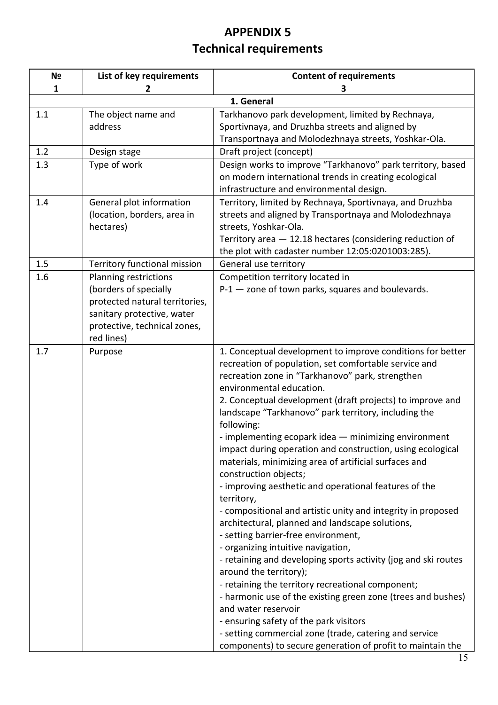# **APPENDIX 5 Technical requirements**

| N <sub>2</sub> | List of key requirements                   | <b>Content of requirements</b>                                                      |
|----------------|--------------------------------------------|-------------------------------------------------------------------------------------|
| 1              | 2                                          | З                                                                                   |
|                |                                            | 1. General                                                                          |
| 1.1            | The object name and                        | Tarkhanovo park development, limited by Rechnaya,                                   |
|                | address                                    | Sportivnaya, and Druzhba streets and aligned by                                     |
|                |                                            | Transportnaya and Molodezhnaya streets, Yoshkar-Ola.                                |
| 1.2            | Design stage                               | Draft project (concept)                                                             |
| 1.3            | Type of work                               | Design works to improve "Tarkhanovo" park territory, based                          |
|                |                                            | on modern international trends in creating ecological                               |
|                |                                            | infrastructure and environmental design.                                            |
| 1.4            | General plot information                   | Territory, limited by Rechnaya, Sportivnaya, and Druzhba                            |
|                | (location, borders, area in                | streets and aligned by Transportnaya and Molodezhnaya                               |
|                | hectares)                                  | streets, Yoshkar-Ola.                                                               |
|                |                                            | Territory area - 12.18 hectares (considering reduction of                           |
|                |                                            | the plot with cadaster number 12:05:0201003:285).                                   |
| 1.5            | Territory functional mission               | General use territory                                                               |
| 1.6            | <b>Planning restrictions</b>               | Competition territory located in                                                    |
|                | (borders of specially                      | $P-1$ - zone of town parks, squares and boulevards.                                 |
|                | protected natural territories,             |                                                                                     |
|                | sanitary protective, water                 |                                                                                     |
|                | protective, technical zones,<br>red lines) |                                                                                     |
| 1.7            | Purpose                                    | 1. Conceptual development to improve conditions for better                          |
|                |                                            | recreation of population, set comfortable service and                               |
|                |                                            | recreation zone in "Tarkhanovo" park, strengthen                                    |
|                |                                            | environmental education.                                                            |
|                |                                            | 2. Conceptual development (draft projects) to improve and                           |
|                |                                            | landscape "Tarkhanovo" park territory, including the                                |
|                |                                            | following:                                                                          |
|                |                                            | - implementing ecopark idea - minimizing environment                                |
|                |                                            | impact during operation and construction, using ecological                          |
|                |                                            | materials, minimizing area of artificial surfaces and                               |
|                |                                            | construction objects;                                                               |
|                |                                            | - improving aesthetic and operational features of the                               |
|                |                                            | territory,                                                                          |
|                |                                            | - compositional and artistic unity and integrity in proposed                        |
|                |                                            | architectural, planned and landscape solutions,                                     |
|                |                                            | - setting barrier-free environment,                                                 |
|                |                                            | - organizing intuitive navigation,                                                  |
|                |                                            | - retaining and developing sports activity (jog and ski routes                      |
|                |                                            | around the territory);                                                              |
|                |                                            | - retaining the territory recreational component;                                   |
|                |                                            | - harmonic use of the existing green zone (trees and bushes)<br>and water reservoir |
|                |                                            | - ensuring safety of the park visitors                                              |
|                |                                            | - setting commercial zone (trade, catering and service                              |
|                |                                            | components) to secure generation of profit to maintain the                          |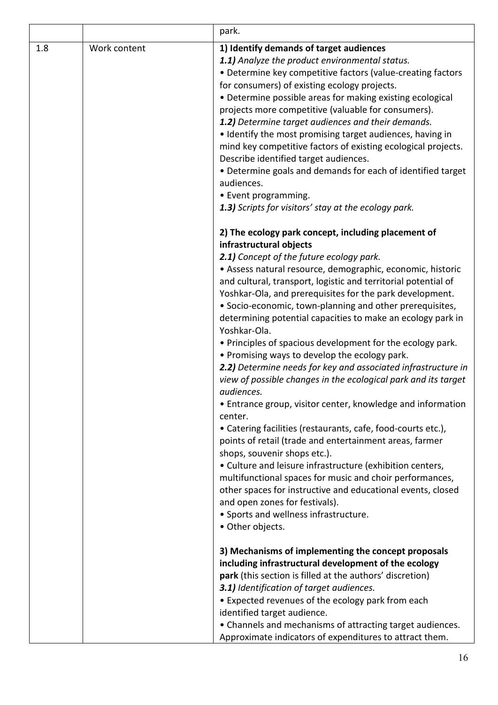|     |              | park.                                                                                                                                                                                                                                                                                                                                                                                                                                                                                                                                                                                                                                                                                                                                                                                                                                                                                                                                                                                                                                                                                                                                                                                                                                                         |
|-----|--------------|---------------------------------------------------------------------------------------------------------------------------------------------------------------------------------------------------------------------------------------------------------------------------------------------------------------------------------------------------------------------------------------------------------------------------------------------------------------------------------------------------------------------------------------------------------------------------------------------------------------------------------------------------------------------------------------------------------------------------------------------------------------------------------------------------------------------------------------------------------------------------------------------------------------------------------------------------------------------------------------------------------------------------------------------------------------------------------------------------------------------------------------------------------------------------------------------------------------------------------------------------------------|
| 1.8 | Work content | 1) Identify demands of target audiences<br>1.1) Analyze the product environmental status.<br>• Determine key competitive factors (value-creating factors<br>for consumers) of existing ecology projects.<br>• Determine possible areas for making existing ecological<br>projects more competitive (valuable for consumers).<br>1.2) Determine target audiences and their demands.<br>• Identify the most promising target audiences, having in<br>mind key competitive factors of existing ecological projects.<br>Describe identified target audiences.<br>• Determine goals and demands for each of identified target<br>audiences.<br>• Event programming.<br>1.3) Scripts for visitors' stay at the ecology park.                                                                                                                                                                                                                                                                                                                                                                                                                                                                                                                                        |
|     |              | 2) The ecology park concept, including placement of<br>infrastructural objects<br>2.1) Concept of the future ecology park.<br>· Assess natural resource, demographic, economic, historic<br>and cultural, transport, logistic and territorial potential of<br>Yoshkar-Ola, and prerequisites for the park development.<br>• Socio-economic, town-planning and other prerequisites,<br>determining potential capacities to make an ecology park in<br>Yoshkar-Ola.<br>• Principles of spacious development for the ecology park.<br>• Promising ways to develop the ecology park.<br>2.2) Determine needs for key and associated infrastructure in<br>view of possible changes in the ecological park and its target<br>audiences.<br>• Entrance group, visitor center, knowledge and information<br>center.<br>• Catering facilities (restaurants, cafe, food-courts etc.),<br>points of retail (trade and entertainment areas, farmer<br>shops, souvenir shops etc.).<br>• Culture and leisure infrastructure (exhibition centers,<br>multifunctional spaces for music and choir performances,<br>other spaces for instructive and educational events, closed<br>and open zones for festivals).<br>• Sports and wellness infrastructure.<br>• Other objects. |
|     |              | 3) Mechanisms of implementing the concept proposals<br>including infrastructural development of the ecology<br>park (this section is filled at the authors' discretion)<br>3.1) Identification of target audiences.<br>• Expected revenues of the ecology park from each<br>identified target audience.<br>• Channels and mechanisms of attracting target audiences.<br>Approximate indicators of expenditures to attract them.                                                                                                                                                                                                                                                                                                                                                                                                                                                                                                                                                                                                                                                                                                                                                                                                                               |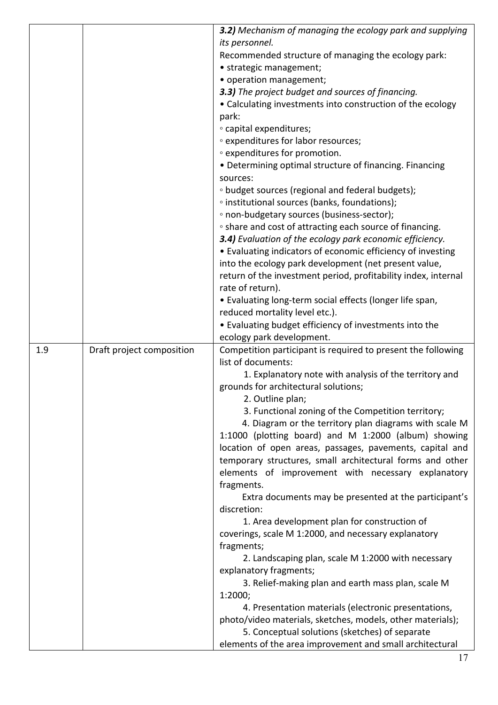|     |                           | 3.2) Mechanism of managing the ecology park and supplying                                                  |
|-----|---------------------------|------------------------------------------------------------------------------------------------------------|
|     |                           | its personnel.                                                                                             |
|     |                           | Recommended structure of managing the ecology park:                                                        |
|     |                           | • strategic management;                                                                                    |
|     |                           | • operation management;                                                                                    |
|     |                           | 3.3) The project budget and sources of financing.                                                          |
|     |                           | • Calculating investments into construction of the ecology                                                 |
|     |                           | park:                                                                                                      |
|     |                           | • capital expenditures;                                                                                    |
|     |                           | • expenditures for labor resources;                                                                        |
|     |                           | • expenditures for promotion.                                                                              |
|     |                           | • Determining optimal structure of financing. Financing                                                    |
|     |                           | sources:                                                                                                   |
|     |                           | • budget sources (regional and federal budgets);                                                           |
|     |                           | <sup>o</sup> institutional sources (banks, foundations);                                                   |
|     |                           | • non-budgetary sources (business-sector);                                                                 |
|     |                           | • share and cost of attracting each source of financing.                                                   |
|     |                           | 3.4) Evaluation of the ecology park economic efficiency.                                                   |
|     |                           | • Evaluating indicators of economic efficiency of investing                                                |
|     |                           | into the ecology park development (net present value,                                                      |
|     |                           | return of the investment period, profitability index, internal                                             |
|     |                           | rate of return).                                                                                           |
|     |                           | • Evaluating long-term social effects (longer life span,                                                   |
|     |                           | reduced mortality level etc.).                                                                             |
|     |                           |                                                                                                            |
|     |                           | • Evaluating budget efficiency of investments into the                                                     |
| 1.9 | Draft project composition | ecology park development.<br>Competition participant is required to present the following                  |
|     |                           | list of documents:                                                                                         |
|     |                           | 1. Explanatory note with analysis of the territory and                                                     |
|     |                           | grounds for architectural solutions;                                                                       |
|     |                           | 2. Outline plan;                                                                                           |
|     |                           | 3. Functional zoning of the Competition territory;                                                         |
|     |                           | 4. Diagram or the territory plan diagrams with scale M                                                     |
|     |                           | 1:1000 (plotting board) and M 1:2000 (album) showing                                                       |
|     |                           |                                                                                                            |
|     |                           | location of open areas, passages, pavements, capital and                                                   |
|     |                           | temporary structures, small architectural forms and other                                                  |
|     |                           | elements of improvement with necessary explanatory                                                         |
|     |                           | fragments.                                                                                                 |
|     |                           | Extra documents may be presented at the participant's<br>discretion:                                       |
|     |                           |                                                                                                            |
|     |                           | 1. Area development plan for construction of                                                               |
|     |                           | coverings, scale M 1:2000, and necessary explanatory                                                       |
|     |                           |                                                                                                            |
|     |                           | fragments;                                                                                                 |
|     |                           | 2. Landscaping plan, scale M 1:2000 with necessary                                                         |
|     |                           | explanatory fragments;                                                                                     |
|     |                           | 3. Relief-making plan and earth mass plan, scale M                                                         |
|     |                           | 1:2000;                                                                                                    |
|     |                           | 4. Presentation materials (electronic presentations,                                                       |
|     |                           | photo/video materials, sketches, models, other materials);                                                 |
|     |                           | 5. Conceptual solutions (sketches) of separate<br>elements of the area improvement and small architectural |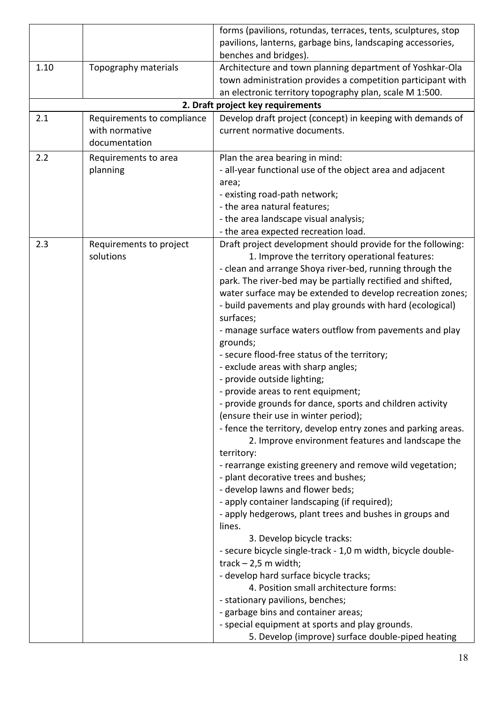|      |                            | forms (pavilions, rotundas, terraces, tents, sculptures, stop                                        |
|------|----------------------------|------------------------------------------------------------------------------------------------------|
|      |                            | pavilions, lanterns, garbage bins, landscaping accessories,                                          |
|      |                            | benches and bridges).                                                                                |
| 1.10 | Topography materials       | Architecture and town planning department of Yoshkar-Ola                                             |
|      |                            | town administration provides a competition participant with                                          |
|      |                            | an electronic territory topography plan, scale M 1:500.                                              |
|      |                            | 2. Draft project key requirements                                                                    |
| 2.1  | Requirements to compliance | Develop draft project (concept) in keeping with demands of                                           |
|      | with normative             | current normative documents.                                                                         |
|      | documentation              |                                                                                                      |
| 2.2  | Requirements to area       | Plan the area bearing in mind:                                                                       |
|      | planning                   | - all-year functional use of the object area and adjacent                                            |
|      |                            | area;                                                                                                |
|      |                            | - existing road-path network;                                                                        |
|      |                            | - the area natural features;                                                                         |
|      |                            | - the area landscape visual analysis;                                                                |
|      |                            | - the area expected recreation load.                                                                 |
| 2.3  | Requirements to project    | Draft project development should provide for the following:                                          |
|      | solutions                  | 1. Improve the territory operational features:                                                       |
|      |                            | - clean and arrange Shoya river-bed, running through the                                             |
|      |                            | park. The river-bed may be partially rectified and shifted,                                          |
|      |                            | water surface may be extended to develop recreation zones;                                           |
|      |                            | - build pavements and play grounds with hard (ecological)                                            |
|      |                            | surfaces;                                                                                            |
|      |                            | - manage surface waters outflow from pavements and play                                              |
|      |                            | grounds;                                                                                             |
|      |                            | - secure flood-free status of the territory;                                                         |
|      |                            | - exclude areas with sharp angles;                                                                   |
|      |                            | - provide outside lighting;                                                                          |
|      |                            | - provide areas to rent equipment;                                                                   |
|      |                            | - provide grounds for dance, sports and children activity                                            |
|      |                            | (ensure their use in winter period);                                                                 |
|      |                            | - fence the territory, develop entry zones and parking areas.                                        |
|      |                            | 2. Improve environment features and landscape the                                                    |
|      |                            | territory:                                                                                           |
|      |                            | - rearrange existing greenery and remove wild vegetation;                                            |
|      |                            | - plant decorative trees and bushes;                                                                 |
|      |                            | - develop lawns and flower beds;                                                                     |
|      |                            | - apply container landscaping (if required);                                                         |
|      |                            | - apply hedgerows, plant trees and bushes in groups and                                              |
|      |                            | lines.                                                                                               |
|      |                            | 3. Develop bicycle tracks:                                                                           |
|      |                            | - secure bicycle single-track - 1,0 m width, bicycle double-                                         |
|      |                            | $track - 2.5 m width;$                                                                               |
|      |                            | - develop hard surface bicycle tracks;<br>4. Position small architecture forms:                      |
|      |                            |                                                                                                      |
|      |                            | - stationary pavilions, benches;                                                                     |
|      |                            | - garbage bins and container areas;                                                                  |
|      |                            |                                                                                                      |
|      |                            | - special equipment at sports and play grounds.<br>5. Develop (improve) surface double-piped heating |